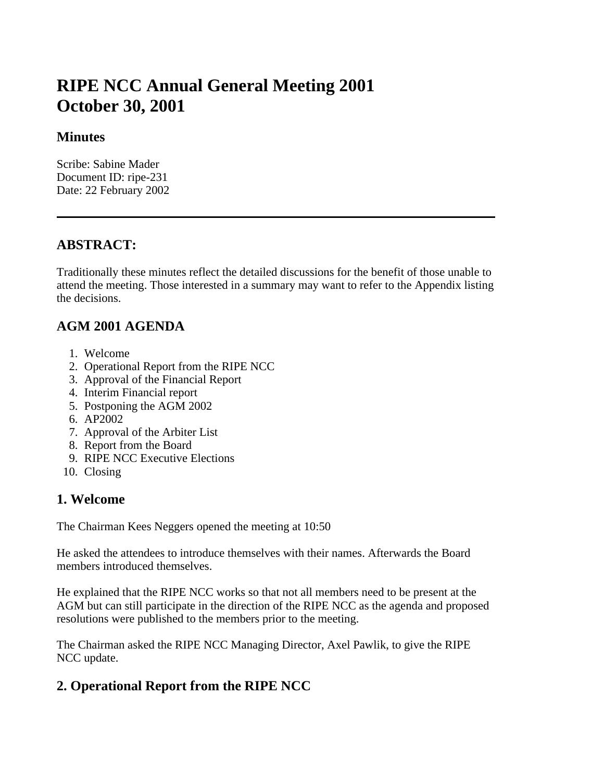# **RIPE NCC Annual General Meeting 2001 October 30, 2001**

#### **Minutes**

Scribe: Sabine Mader Document ID: ripe-231 Date: 22 February 2002

## **ABSTRACT:**

Traditionally these minutes reflect the detailed discussions for the benefit of those unable to attend the meeting. Those interested in a summary may want to refer to the Appendix listing the decisions.

### **AGM 2001 AGENDA**

- 1. Welcome
- 2. Operational Report from the RIPE NCC
- 3. Approval of the Financial Report
- 4. Interim Financial report
- 5. Postponing the AGM 2002
- 6. AP2002
- 7. Approval of the Arbiter List
- 8. Report from the Board
- 9. RIPE NCC Executive Elections
- 10. Closing

#### **1. Welcome**

The Chairman Kees Neggers opened the meeting at 10:50

He asked the attendees to introduce themselves with their names. Afterwards the Board members introduced themselves.

He explained that the RIPE NCC works so that not all members need to be present at the AGM but can still participate in the direction of the RIPE NCC as the agenda and proposed resolutions were published to the members prior to the meeting.

The Chairman asked the RIPE NCC Managing Director, Axel Pawlik, to give the RIPE NCC update.

# **2. Operational Report from the RIPE NCC**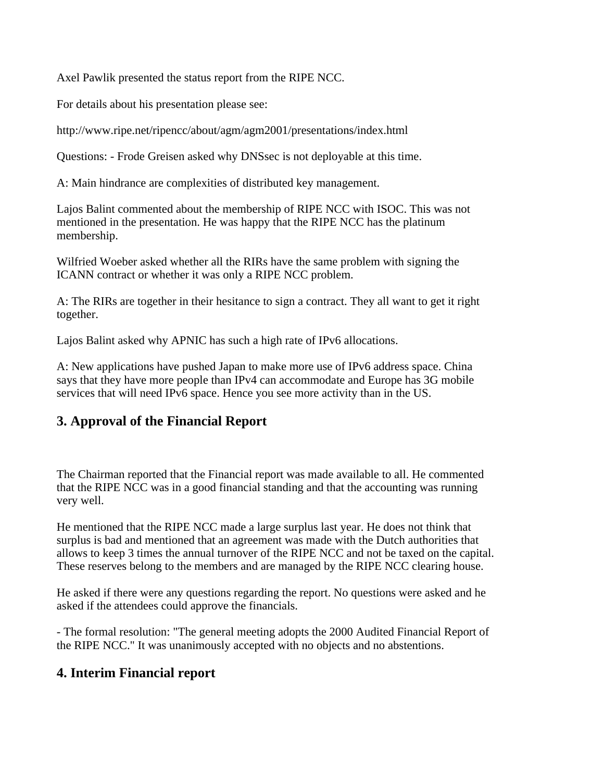Axel Pawlik presented the status report from the RIPE NCC.

For details about his presentation please see:

http://www.ripe.net/ripencc/about/agm/agm2001/presentations/index.html

Questions: - Frode Greisen asked why DNSsec is not deployable at this time.

A: Main hindrance are complexities of distributed key management.

Lajos Balint commented about the membership of RIPE NCC with ISOC. This was not mentioned in the presentation. He was happy that the RIPE NCC has the platinum membership.

Wilfried Woeber asked whether all the RIRs have the same problem with signing the ICANN contract or whether it was only a RIPE NCC problem.

A: The RIRs are together in their hesitance to sign a contract. They all want to get it right together.

Lajos Balint asked why APNIC has such a high rate of IPv6 allocations.

A: New applications have pushed Japan to make more use of IPv6 address space. China says that they have more people than IPv4 can accommodate and Europe has 3G mobile services that will need IPv6 space. Hence you see more activity than in the US.

### **3. Approval of the Financial Report**

The Chairman reported that the Financial report was made available to all. He commented that the RIPE NCC was in a good financial standing and that the accounting was running very well.

He mentioned that the RIPE NCC made a large surplus last year. He does not think that surplus is bad and mentioned that an agreement was made with the Dutch authorities that allows to keep 3 times the annual turnover of the RIPE NCC and not be taxed on the capital. These reserves belong to the members and are managed by the RIPE NCC clearing house.

He asked if there were any questions regarding the report. No questions were asked and he asked if the attendees could approve the financials.

- The formal resolution: "The general meeting adopts the 2000 Audited Financial Report of the RIPE NCC." It was unanimously accepted with no objects and no abstentions.

### **4. Interim Financial report**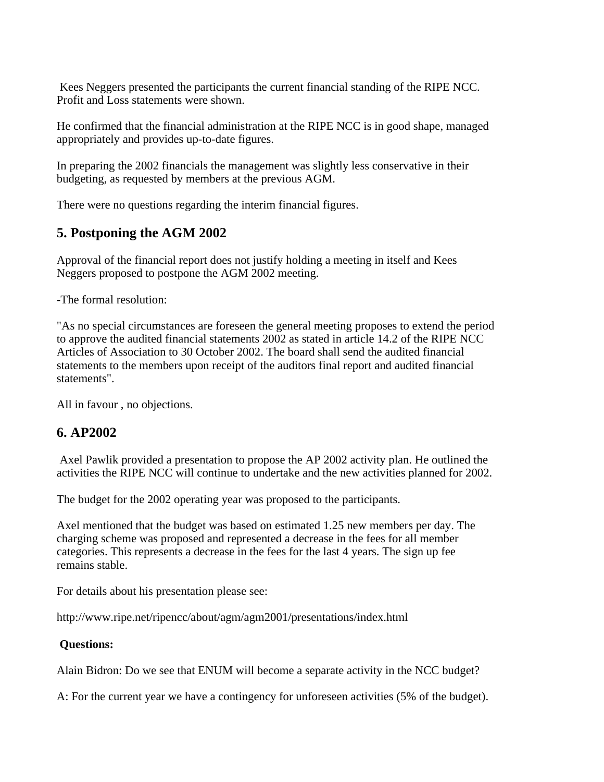Kees Neggers presented the participants the current financial standing of the RIPE NCC. Profit and Loss statements were shown.

He confirmed that the financial administration at the RIPE NCC is in good shape, managed appropriately and provides up-to-date figures.

In preparing the 2002 financials the management was slightly less conservative in their budgeting, as requested by members at the previous AGM.

There were no questions regarding the interim financial figures.

### **5. Postponing the AGM 2002**

Approval of the financial report does not justify holding a meeting in itself and Kees Neggers proposed to postpone the AGM 2002 meeting.

-The formal resolution:

"As no special circumstances are foreseen the general meeting proposes to extend the period to approve the audited financial statements 2002 as stated in article 14.2 of the RIPE NCC Articles of Association to 30 October 2002. The board shall send the audited financial statements to the members upon receipt of the auditors final report and audited financial statements".

All in favour , no objections.

### **6. AP2002**

 Axel Pawlik provided a presentation to propose the AP 2002 activity plan. He outlined the activities the RIPE NCC will continue to undertake and the new activities planned for 2002.

The budget for the 2002 operating year was proposed to the participants.

Axel mentioned that the budget was based on estimated 1.25 new members per day. The charging scheme was proposed and represented a decrease in the fees for all member categories. This represents a decrease in the fees for the last 4 years. The sign up fee remains stable.

For details about his presentation please see:

http://www.ripe.net/ripencc/about/agm/agm2001/presentations/index.html

#### **Questions:**

Alain Bidron: Do we see that ENUM will become a separate activity in the NCC budget?

A: For the current year we have a contingency for unforeseen activities (5% of the budget).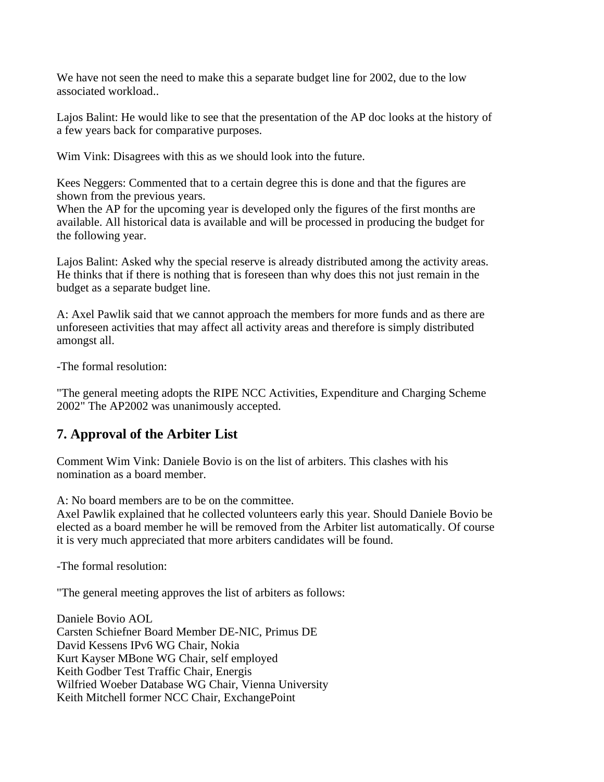We have not seen the need to make this a separate budget line for 2002, due to the low associated workload..

Lajos Balint: He would like to see that the presentation of the AP doc looks at the history of a few years back for comparative purposes.

Wim Vink: Disagrees with this as we should look into the future.

Kees Neggers: Commented that to a certain degree this is done and that the figures are shown from the previous years.

When the AP for the upcoming year is developed only the figures of the first months are available. All historical data is available and will be processed in producing the budget for the following year.

Lajos Balint: Asked why the special reserve is already distributed among the activity areas. He thinks that if there is nothing that is foreseen than why does this not just remain in the budget as a separate budget line.

A: Axel Pawlik said that we cannot approach the members for more funds and as there are unforeseen activities that may affect all activity areas and therefore is simply distributed amongst all.

-The formal resolution:

"The general meeting adopts the RIPE NCC Activities, Expenditure and Charging Scheme 2002" The AP2002 was unanimously accepted.

# **7. Approval of the Arbiter List**

Comment Wim Vink: Daniele Bovio is on the list of arbiters. This clashes with his nomination as a board member.

A: No board members are to be on the committee.

Axel Pawlik explained that he collected volunteers early this year. Should Daniele Bovio be elected as a board member he will be removed from the Arbiter list automatically. Of course it is very much appreciated that more arbiters candidates will be found.

-The formal resolution:

"The general meeting approves the list of arbiters as follows:

Daniele Bovio AOL Carsten Schiefner Board Member DE-NIC, Primus DE David Kessens IPv6 WG Chair, Nokia Kurt Kayser MBone WG Chair, self employed Keith Godber Test Traffic Chair, Energis Wilfried Woeber Database WG Chair, Vienna University Keith Mitchell former NCC Chair, ExchangePoint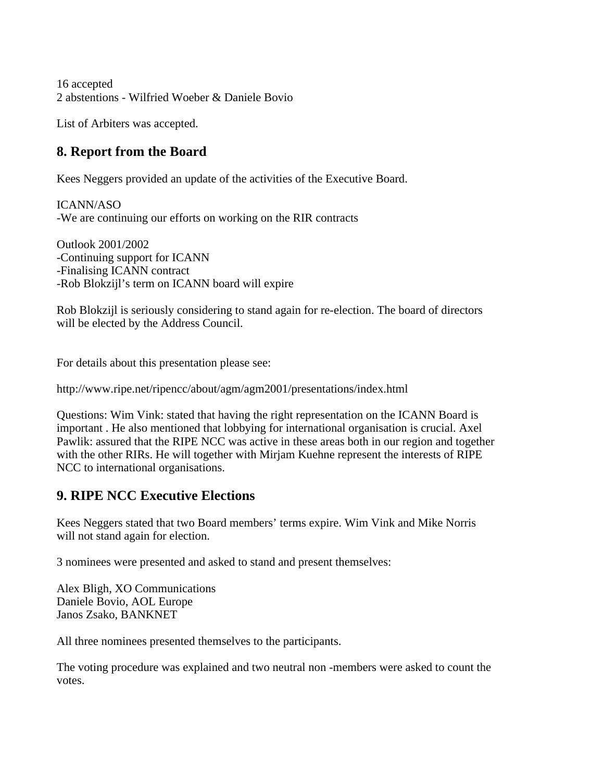16 accepted 2 abstentions - Wilfried Woeber & Daniele Bovio

List of Arbiters was accepted.

# **8. Report from the Board**

Kees Neggers provided an update of the activities of the Executive Board.

ICANN/ASO -We are continuing our efforts on working on the RIR contracts

Outlook 2001/2002 -Continuing support for ICANN -Finalising ICANN contract -Rob Blokzijl's term on ICANN board will expire

Rob Blokzijl is seriously considering to stand again for re-election. The board of directors will be elected by the Address Council.

For details about this presentation please see:

http://www.ripe.net/ripencc/about/agm/agm2001/presentations/index.html

Questions: Wim Vink: stated that having the right representation on the ICANN Board is important . He also mentioned that lobbying for international organisation is crucial. Axel Pawlik: assured that the RIPE NCC was active in these areas both in our region and together with the other RIRs. He will together with Mirjam Kuehne represent the interests of RIPE NCC to international organisations.

### **9. RIPE NCC Executive Elections**

Kees Neggers stated that two Board members' terms expire. Wim Vink and Mike Norris will not stand again for election.

3 nominees were presented and asked to stand and present themselves:

Alex Bligh, XO Communications Daniele Bovio, AOL Europe Janos Zsako, BANKNET

All three nominees presented themselves to the participants.

The voting procedure was explained and two neutral non -members were asked to count the votes.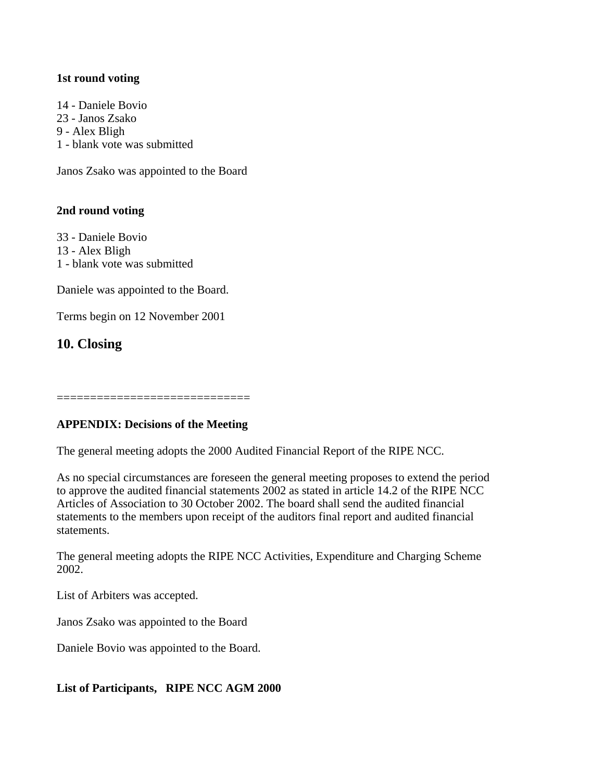#### **1st round voting**

14 - Daniele Bovio 23 - Janos Zsako 9 - Alex Bligh 1 - blank vote was submitted

Janos Zsako was appointed to the Board

#### **2nd round voting**

33 - Daniele Bovio 13 - Alex Bligh 1 - blank vote was submitted

Daniele was appointed to the Board.

Terms begin on 12 November 2001

**10. Closing**

=============================

#### **APPENDIX: Decisions of the Meeting**

The general meeting adopts the 2000 Audited Financial Report of the RIPE NCC.

As no special circumstances are foreseen the general meeting proposes to extend the period to approve the audited financial statements 2002 as stated in article 14.2 of the RIPE NCC Articles of Association to 30 October 2002. The board shall send the audited financial statements to the members upon receipt of the auditors final report and audited financial statements.

The general meeting adopts the RIPE NCC Activities, Expenditure and Charging Scheme 2002.

List of Arbiters was accepted.

Janos Zsako was appointed to the Board

Daniele Bovio was appointed to the Board.

#### **List of Participants, RIPE NCC AGM 2000**